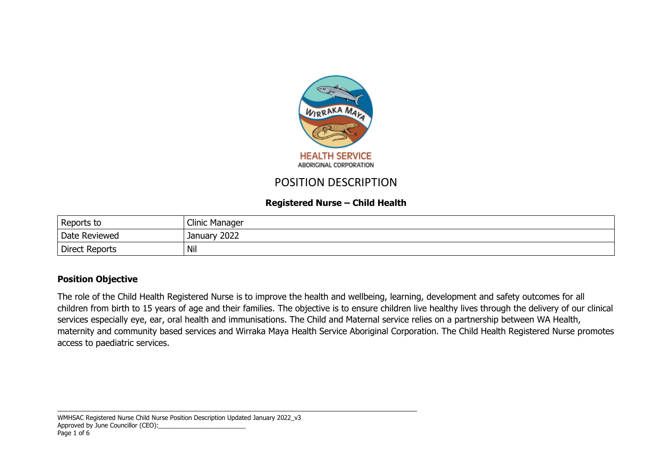

# POSITION DESCRIPTION

# **Registered Nurse – Child Health**

| Reports to            | Clinic Manager  |
|-----------------------|-----------------|
| Date Reviewed         | 2022<br>January |
| <b>Direct Reports</b> | Nil             |

#### **Position Objective**

The role of the Child Health Registered Nurse is to improve the health and wellbeing, learning, development and safety outcomes for all children from birth to 15 years of age and their families. The objective is to ensure children live healthy lives through the delivery of our clinical services especially eye, ear, oral health and immunisations. The Child and Maternal service relies on a partnership between WA Health, maternity and community based services and Wirraka Maya Health Service Aboriginal Corporation. The Child Health Registered Nurse promotes access to paediatric services.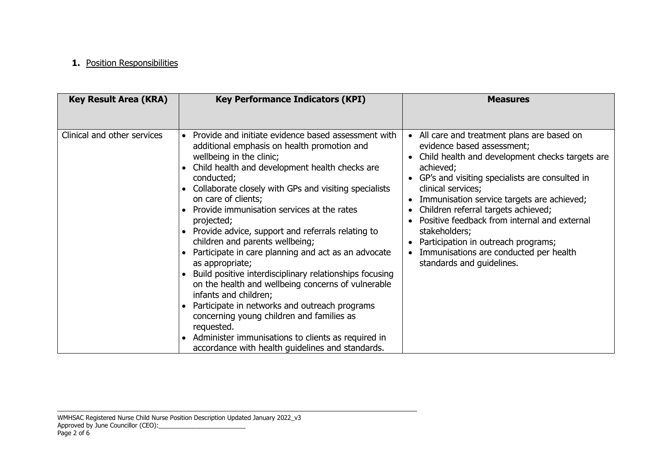## **1.** Position Responsibilities

| <b>Key Result Area (KRA)</b> | <b>Key Performance Indicators (KPI)</b>                                                                                                                                                                                                                                                                                                                                                                                                                                                                                                                                                                                                                                                                                                                                                                                                                                      | <b>Measures</b>                                                                                                                                                                                                                                                                                                                                                                                                                                                                                  |
|------------------------------|------------------------------------------------------------------------------------------------------------------------------------------------------------------------------------------------------------------------------------------------------------------------------------------------------------------------------------------------------------------------------------------------------------------------------------------------------------------------------------------------------------------------------------------------------------------------------------------------------------------------------------------------------------------------------------------------------------------------------------------------------------------------------------------------------------------------------------------------------------------------------|--------------------------------------------------------------------------------------------------------------------------------------------------------------------------------------------------------------------------------------------------------------------------------------------------------------------------------------------------------------------------------------------------------------------------------------------------------------------------------------------------|
| Clinical and other services  | Provide and initiate evidence based assessment with<br>additional emphasis on health promotion and<br>wellbeing in the clinic;<br>Child health and development health checks are<br>conducted;<br>Collaborate closely with GPs and visiting specialists<br>on care of clients;<br>Provide immunisation services at the rates<br>projected;<br>Provide advice, support and referrals relating to<br>children and parents wellbeing;<br>Participate in care planning and act as an advocate<br>as appropriate;<br>Build positive interdisciplinary relationships focusing<br>on the health and wellbeing concerns of vulnerable<br>infants and children;<br>Participate in networks and outreach programs<br>concerning young children and families as<br>requested.<br>Administer immunisations to clients as required in<br>accordance with health guidelines and standards. | All care and treatment plans are based on<br>$\bullet$<br>evidence based assessment;<br>Child health and development checks targets are<br>achieved;<br>GP's and visiting specialists are consulted in<br>clinical services;<br>Immunisation service targets are achieved;<br>Children referral targets achieved;<br>Positive feedback from internal and external<br>stakeholders;<br>Participation in outreach programs;<br>Immunisations are conducted per health<br>standards and guidelines. |

WMHSAC Registered Nurse Child Nurse Position Description Updated January 2022\_v3 Approved by June Councillor (CEO):\_\_\_\_\_\_\_\_\_\_\_\_\_\_\_\_\_\_\_\_\_\_\_\_\_ Page 2 of 6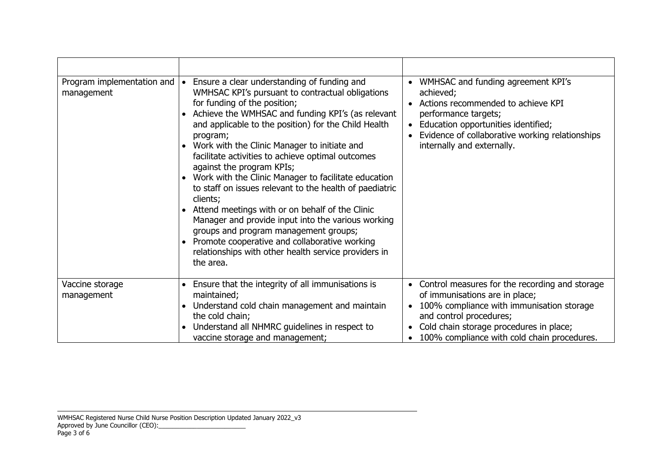| Program implementation and<br>management | Ensure a clear understanding of funding and<br>WMHSAC KPI's pursuant to contractual obligations<br>for funding of the position;<br>Achieve the WMHSAC and funding KPI's (as relevant<br>and applicable to the position) for the Child Health<br>program;<br>Work with the Clinic Manager to initiate and<br>$\bullet$<br>facilitate activities to achieve optimal outcomes<br>against the program KPIs;<br>• Work with the Clinic Manager to facilitate education<br>to staff on issues relevant to the health of paediatric<br>clients;<br>Attend meetings with or on behalf of the Clinic<br>Manager and provide input into the various working<br>groups and program management groups;<br>Promote cooperative and collaborative working<br>relationships with other health service providers in<br>the area. | WMHSAC and funding agreement KPI's<br>achieved;<br>Actions recommended to achieve KPI<br>$\bullet$<br>performance targets;<br>Education opportunities identified;<br>$\bullet$<br>Evidence of collaborative working relationships<br>internally and externally.              |
|------------------------------------------|------------------------------------------------------------------------------------------------------------------------------------------------------------------------------------------------------------------------------------------------------------------------------------------------------------------------------------------------------------------------------------------------------------------------------------------------------------------------------------------------------------------------------------------------------------------------------------------------------------------------------------------------------------------------------------------------------------------------------------------------------------------------------------------------------------------|------------------------------------------------------------------------------------------------------------------------------------------------------------------------------------------------------------------------------------------------------------------------------|
| Vaccine storage<br>management            | Ensure that the integrity of all immunisations is<br>maintained;<br>Understand cold chain management and maintain<br>the cold chain;<br>Understand all NHMRC guidelines in respect to<br>vaccine storage and management;                                                                                                                                                                                                                                                                                                                                                                                                                                                                                                                                                                                         | Control measures for the recording and storage<br>$\bullet$<br>of immunisations are in place;<br>100% compliance with immunisation storage<br>$\bullet$<br>and control procedures;<br>Cold chain storage procedures in place;<br>100% compliance with cold chain procedures. |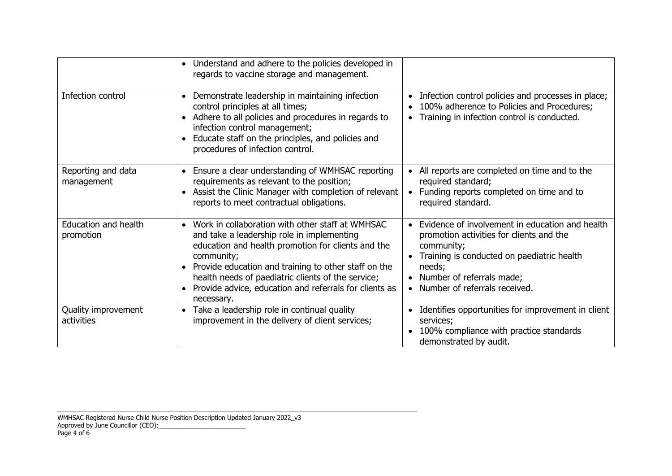|                                          | Understand and adhere to the policies developed in<br>$\bullet$<br>regards to vaccine storage and management.                                                                                                                                                                                                                                                         |                                                                                                                                                                                                                                              |
|------------------------------------------|-----------------------------------------------------------------------------------------------------------------------------------------------------------------------------------------------------------------------------------------------------------------------------------------------------------------------------------------------------------------------|----------------------------------------------------------------------------------------------------------------------------------------------------------------------------------------------------------------------------------------------|
| Infection control                        | Demonstrate leadership in maintaining infection<br>$\bullet$<br>control principles at all times;<br>• Adhere to all policies and procedures in regards to<br>infection control management;<br>Educate staff on the principles, and policies and<br>procedures of infection control.                                                                                   | Infection control policies and processes in place;<br>$\bullet$<br>100% adherence to Policies and Procedures;<br>Training in infection control is conducted.                                                                                 |
| Reporting and data<br>management         | Ensure a clear understanding of WMHSAC reporting<br>$\bullet$<br>requirements as relevant to the position;<br>Assist the Clinic Manager with completion of relevant<br>reports to meet contractual obligations.                                                                                                                                                       | All reports are completed on time and to the<br>required standard;<br>Funding reports completed on time and to<br>required standard.                                                                                                         |
| <b>Education and health</b><br>promotion | Work in collaboration with other staff at WMHSAC<br>$\bullet$<br>and take a leadership role in implementing<br>education and health promotion for clients and the<br>community;<br>Provide education and training to other staff on the<br>health needs of paediatric clients of the service;<br>Provide advice, education and referrals for clients as<br>necessary. | Evidence of involvement in education and health<br>promotion activities for clients and the<br>community;<br>Training is conducted on paediatric health<br>$\bullet$<br>needs;<br>Number of referrals made;<br>Number of referrals received. |
| Quality improvement<br>activities        | Take a leadership role in continual quality<br>improvement in the delivery of client services;                                                                                                                                                                                                                                                                        | Identifies opportunities for improvement in client<br>services;<br>100% compliance with practice standards<br>demonstrated by audit.                                                                                                         |

WMHSAC Registered Nurse Child Nurse Position Description Updated January 2022\_v3 Approved by June Councillor (CEO):\_\_\_\_\_\_\_\_\_\_\_\_\_\_\_\_\_\_\_\_\_\_\_\_\_ Page 4 of 6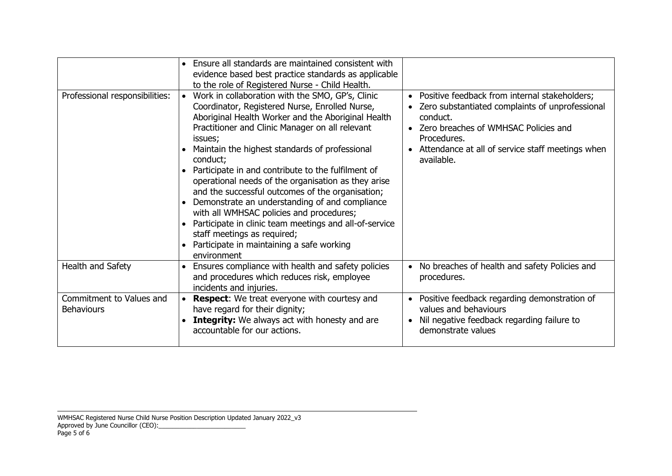| Professional responsibilities:                | Ensure all standards are maintained consistent with<br>evidence based best practice standards as applicable<br>to the role of Registered Nurse - Child Health.<br>Work in collaboration with the SMO, GP's, Clinic<br>Coordinator, Registered Nurse, Enrolled Nurse,<br>Aboriginal Health Worker and the Aboriginal Health<br>Practitioner and Clinic Manager on all relevant<br>issues;<br>Maintain the highest standards of professional<br>conduct;<br>Participate in and contribute to the fulfilment of<br>operational needs of the organisation as they arise<br>and the successful outcomes of the organisation;<br>Demonstrate an understanding of and compliance<br>with all WMHSAC policies and procedures;<br>Participate in clinic team meetings and all-of-service<br>staff meetings as required;<br>Participate in maintaining a safe working<br>environment | Positive feedback from internal stakeholders;<br>$\bullet$<br>Zero substantiated complaints of unprofessional<br>conduct.<br>• Zero breaches of WMHSAC Policies and<br>Procedures.<br>Attendance at all of service staff meetings when<br>available. |
|-----------------------------------------------|----------------------------------------------------------------------------------------------------------------------------------------------------------------------------------------------------------------------------------------------------------------------------------------------------------------------------------------------------------------------------------------------------------------------------------------------------------------------------------------------------------------------------------------------------------------------------------------------------------------------------------------------------------------------------------------------------------------------------------------------------------------------------------------------------------------------------------------------------------------------------|------------------------------------------------------------------------------------------------------------------------------------------------------------------------------------------------------------------------------------------------------|
| Health and Safety                             | Ensures compliance with health and safety policies<br>and procedures which reduces risk, employee<br>incidents and injuries.                                                                                                                                                                                                                                                                                                                                                                                                                                                                                                                                                                                                                                                                                                                                               | No breaches of health and safety Policies and<br>procedures.                                                                                                                                                                                         |
| Commitment to Values and<br><b>Behaviours</b> | <b>Respect:</b> We treat everyone with courtesy and<br>have regard for their dignity;<br><b>Integrity:</b> We always act with honesty and are<br>accountable for our actions.                                                                                                                                                                                                                                                                                                                                                                                                                                                                                                                                                                                                                                                                                              | Positive feedback regarding demonstration of<br>values and behaviours<br>Nil negative feedback regarding failure to<br>demonstrate values                                                                                                            |

WMHSAC Registered Nurse Child Nurse Position Description Updated January 2022\_v3 Approved by June Councillor (CEO):\_\_\_\_\_\_\_\_\_\_\_\_\_\_\_\_\_\_\_\_\_\_\_\_\_ Page 5 of 6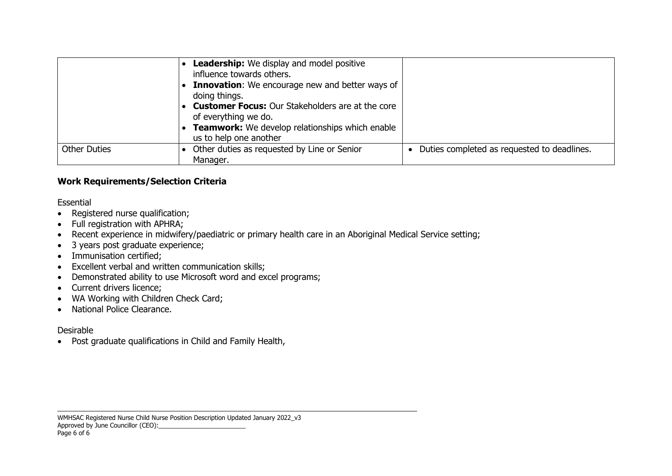|                     | <b>Leadership:</b> We display and model positive<br>influence towards others.<br><b>Innovation:</b> We encourage new and better ways of<br>doing things.<br><b>Customer Focus:</b> Our Stakeholders are at the core<br>of everything we do.<br>Teamwork: We develop relationships which enable<br>us to help one another |                                             |
|---------------------|--------------------------------------------------------------------------------------------------------------------------------------------------------------------------------------------------------------------------------------------------------------------------------------------------------------------------|---------------------------------------------|
| <b>Other Duties</b> | Other duties as requested by Line or Senior<br>Manager.                                                                                                                                                                                                                                                                  | Duties completed as requested to deadlines. |

## **Work Requirements/Selection Criteria**

#### Essential

- Registered nurse qualification;
- Full registration with APHRA;
- Recent experience in midwifery/paediatric or primary health care in an Aboriginal Medical Service setting;
- 3 years post graduate experience;
- Immunisation certified;
- Excellent verbal and written communication skills;
- Demonstrated ability to use Microsoft word and excel programs;
- Current drivers licence;
- WA Working with Children Check Card;
- National Police Clearance.

# Desirable

Post graduate qualifications in Child and Family Health,